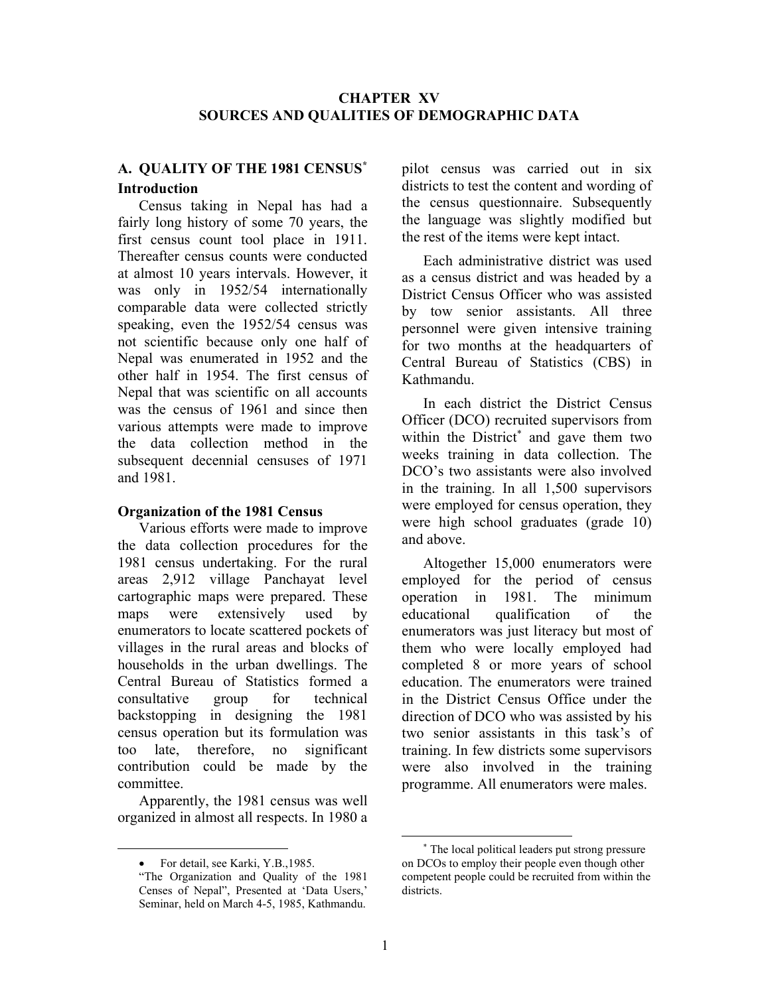## CHAPTER XV SOURCES AND QUALITIES OF DEMOGRAPHIC DATA

## A. QUALITY OF THE 1981 CENSUS\* Introduction

Census taking in Nepal has had a fairly long history of some 70 years, the first census count tool place in 1911. Thereafter census counts were conducted at almost 10 years intervals. However, it was only in 1952/54 internationally comparable data were collected strictly speaking, even the 1952/54 census was not scientific because only one half of Nepal was enumerated in 1952 and the other half in 1954. The first census of Nepal that was scientific on all accounts was the census of 1961 and since then various attempts were made to improve the data collection method in the subsequent decennial censuses of 1971 and 1981.

#### Organization of the 1981 Census

Various efforts were made to improve the data collection procedures for the 1981 census undertaking. For the rural areas 2,912 village Panchayat level cartographic maps were prepared. These maps were extensively used by enumerators to locate scattered pockets of villages in the rural areas and blocks of households in the urban dwellings. The Central Bureau of Statistics formed a consultative group for technical backstopping in designing the 1981 census operation but its formulation was too late, therefore, no significant contribution could be made by the committee.

Apparently, the 1981 census was well organized in almost all respects. In 1980 a

For detail, see Karki, Y.B.,1985.

pilot census was carried out in six districts to test the content and wording of the census questionnaire. Subsequently the language was slightly modified but the rest of the items were kept intact.

Each administrative district was used as a census district and was headed by a District Census Officer who was assisted by tow senior assistants. All three personnel were given intensive training for two months at the headquarters of Central Bureau of Statistics (CBS) in Kathmandu.

In each district the District Census Officer (DCO) recruited supervisors from within the District\* and gave them two weeks training in data collection. The DCO's two assistants were also involved in the training. In all 1,500 supervisors were employed for census operation, they were high school graduates (grade 10) and above.

Altogether 15,000 enumerators were employed for the period of census operation in 1981. The minimum educational qualification of the enumerators was just literacy but most of them who were locally employed had completed 8 or more years of school education. The enumerators were trained in the District Census Office under the direction of DCO who was assisted by his two senior assistants in this task's of training. In few districts some supervisors were also involved in the training programme. All enumerators were males.

<sup>&</sup>quot;The Organization and Quality of the 1981 Censes of Nepal", Presented at 'Data Users,' Seminar, held on March 4-5, 1985, Kathmandu.

<sup>\*</sup> The local political leaders put strong pressure on DCOs to employ their people even though other competent people could be recruited from within the districts.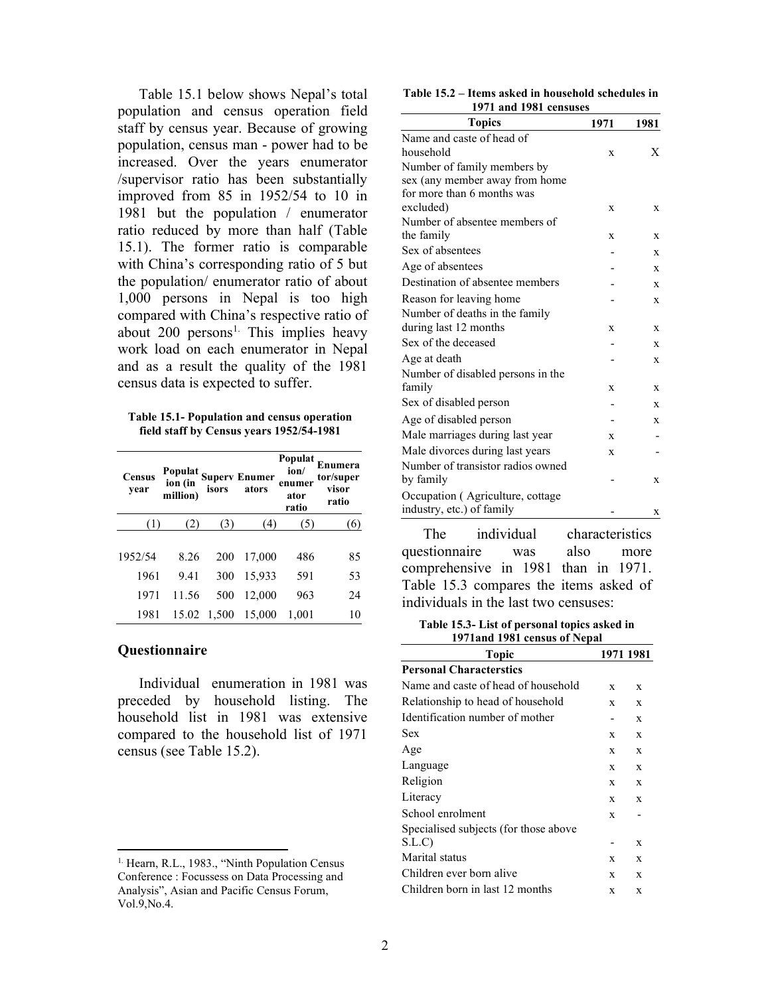Table 15.1 below shows Nepal's total population and census operation field staff by census year. Because of growing population, census man - power had to be increased. Over the years enumerator /supervisor ratio has been substantially improved from 85 in 1952/54 to 10 in 1981 but the population / enumerator ratio reduced by more than half (Table 15.1). The former ratio is comparable with China's corresponding ratio of 5 but the population/ enumerator ratio of about 1,000 persons in Nepal is too high compared with China's respective ratio of about 200 persons<sup>1.</sup> This implies heavy work load on each enumerator in Nepal and as a result the quality of the 1981 census data is expected to suffer.

Table 15.1- Population and census operation field staff by Census years 1952/54-1981

| <b>Census</b><br>year |       |     | Populat<br>ion (in Superv Enumer<br>million) isors ators | Populat<br>ion/<br>enumer<br>ator<br>ratio | Enumera<br>tor/super<br>visor<br>ratio |
|-----------------------|-------|-----|----------------------------------------------------------|--------------------------------------------|----------------------------------------|
|                       |       | (3) | (4)                                                      | 3)                                         | 6)                                     |
| 1952/54               | 8.26  | 200 | 17,000                                                   | 486                                        | 85                                     |
| 1961                  | 9.41  | 300 | 15,933                                                   | 591                                        | 53                                     |
| 1971                  | 11.56 | 500 | 12,000                                                   | 963                                        | 24                                     |
| 1981                  |       |     | 15.02 1,500 15,000                                       | 1,001                                      | 10                                     |

#### **Questionnaire**

Individual enumeration in 1981 was preceded by household listing. The household list in 1981 was extensive compared to the household list of 1971 census (see Table 15.2).

| Table 15.2 – Items asked in household schedules in |  |
|----------------------------------------------------|--|
| 1971 and 1981 censuses                             |  |

| <b>Topics</b>                     | 1971 | 1981 |
|-----------------------------------|------|------|
| Name and caste of head of         |      |      |
| household                         | X    | X    |
| Number of family members by       |      |      |
| sex (any member away from home    |      |      |
| for more than 6 months was        |      |      |
| excluded)                         | X    | X    |
| Number of absentee members of     |      |      |
| the family                        | X    | X    |
| Sex of absentees                  |      | X    |
| Age of absentees                  |      | X    |
| Destination of absentee members   |      | X    |
| Reason for leaving home           |      | X    |
| Number of deaths in the family    |      |      |
| during last 12 months             | X    | X    |
| Sex of the deceased               |      | X    |
| Age at death                      |      | X    |
| Number of disabled persons in the |      |      |
| family                            | X    | X    |
| Sex of disabled person            |      | X    |
| Age of disabled person            |      | X    |
| Male marriages during last year   | X    |      |
| Male divorces during last years   | X    |      |
| Number of transistor radios owned |      |      |
| by family                         |      | X    |
| Occupation (Agriculture, cottage  |      |      |
| industry, etc.) of family         |      | x    |

The individual characteristics questionnaire was also more comprehensive in 1981 than in 1971. Table 15.3 compares the items asked of individuals in the last two censuses:

Table 15.3- List of personal topics asked in 1971and 1981 census of Nepal

| <b>Topic</b>                          | 1971 1981 |             |
|---------------------------------------|-----------|-------------|
| <b>Personal Characterstics</b>        |           |             |
| Name and caste of head of household   | X         | X           |
| Relationship to head of household     | X         | X           |
| Identification number of mother       |           | X           |
| Sex                                   | X         | X           |
| Age                                   | X         | X           |
| Language                              | X         | X           |
| Religion                              | X         | X           |
| Literacy                              | X         | $\mathbf x$ |
| School enrolment                      | X         |             |
| Specialised subjects (for those above |           |             |
| S.L.C                                 |           | $\mathbf x$ |
| Marital status                        | X         | X           |
| Children ever born alive              | X         | X           |
| Children born in last 12 months       | X         | X           |
|                                       |           |             |

<sup>&</sup>lt;sup>1.</sup> Hearn, R.L., 1983., "Ninth Population Census Conference : Focussess on Data Processing and Analysis", Asian and Pacific Census Forum, Vol.9,No.4.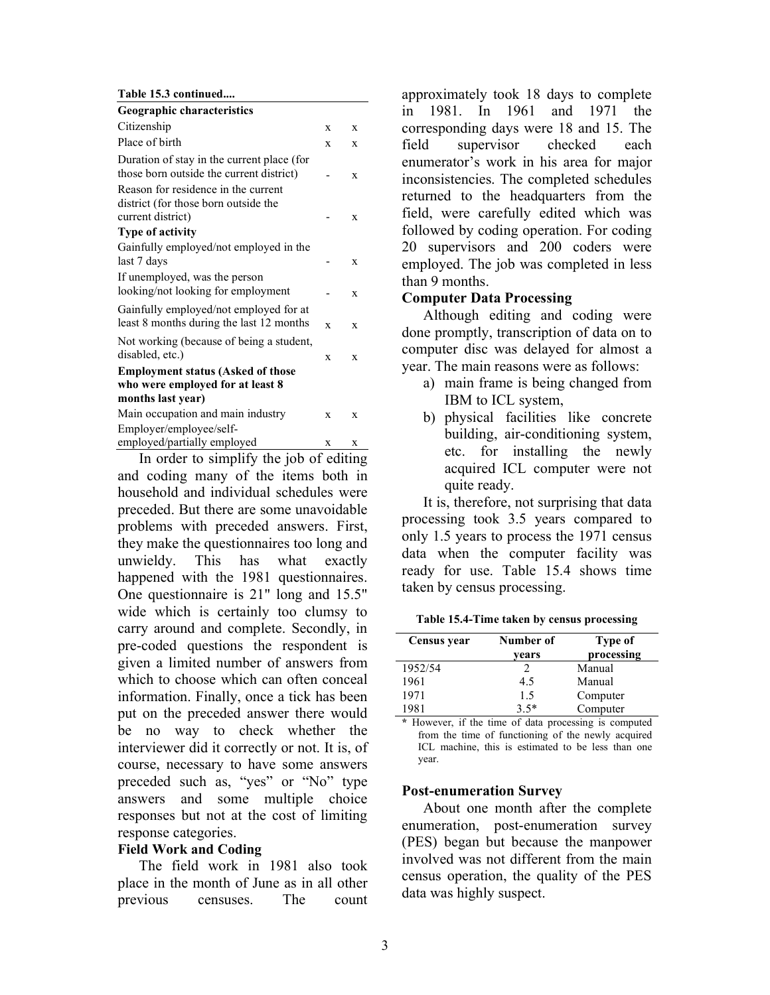Table 15.3 continued....

| Geographic characteristics                                                                       |             |             |
|--------------------------------------------------------------------------------------------------|-------------|-------------|
| Citizenship                                                                                      | X           | X           |
| Place of birth                                                                                   | X           | X           |
| Duration of stay in the current place (for<br>those born outside the current district)           |             | X           |
| Reason for residence in the current<br>district (for those born outside the<br>current district) |             | X           |
| <b>Type of activity</b>                                                                          |             |             |
| Gainfully employed/not employed in the<br>last 7 days                                            |             | X           |
| If unemployed, was the person<br>looking/not looking for employment                              |             | $\mathbf x$ |
| Gainfully employed/not employed for at<br>least 8 months during the last 12 months               | $\mathbf x$ | X           |
| Not working (because of being a student,<br>disabled, etc.)                                      | X           | X           |
| <b>Employment status (Asked of those</b><br>who were employed for at least 8                     |             |             |
| months last year)                                                                                |             |             |
| Main occupation and main industry                                                                | $\mathbf x$ | X           |
| Employer/employee/self-                                                                          |             |             |
| employed/partially employed                                                                      | X           | X           |

In order to simplify the job of editing and coding many of the items both in household and individual schedules were preceded. But there are some unavoidable problems with preceded answers. First, they make the questionnaires too long and unwieldy. This has what exactly happened with the 1981 questionnaires. One questionnaire is 21" long and 15.5" wide which is certainly too clumsy to carry around and complete. Secondly, in pre-coded questions the respondent is given a limited number of answers from which to choose which can often conceal information. Finally, once a tick has been put on the preceded answer there would be no way to check whether the interviewer did it correctly or not. It is, of course, necessary to have some answers preceded such as, "yes" or "No" type answers and some multiple choice responses but not at the cost of limiting response categories.

#### Field Work and Coding

The field work in 1981 also took place in the month of June as in all other previous censuses. The count approximately took 18 days to complete in 1981. In 1961 and 1971 the corresponding days were 18 and 15. The field supervisor checked each enumerator's work in his area for major inconsistencies. The completed schedules returned to the headquarters from the field, were carefully edited which was followed by coding operation. For coding 20 supervisors and 200 coders were employed. The job was completed in less than 9 months.

### Computer Data Processing

Although editing and coding were done promptly, transcription of data on to computer disc was delayed for almost a year. The main reasons were as follows:

- a) main frame is being changed from IBM to ICL system,
- b) physical facilities like concrete building, air-conditioning system, etc. for installing the newly acquired ICL computer were not quite ready.

It is, therefore, not surprising that data processing took 3.5 years compared to only 1.5 years to process the 1971 census data when the computer facility was ready for use. Table 15.4 shows time taken by census processing.

Table 15.4-Time taken by census processing

| Census year | Number of<br>vears | Type of<br>processing |
|-------------|--------------------|-----------------------|
| 1952/54     |                    | Manual                |
| 1961        | 4.5                | Manual                |
| 1971        | 1.5                | Computer              |
| 1981        | $3.5*$             | Computer              |

\* However, if the time of data processing is computed from the time of functioning of the newly acquired ICL machine, this is estimated to be less than one year.

## Post-enumeration Survey

About one month after the complete enumeration, post-enumeration survey (PES) began but because the manpower involved was not different from the main census operation, the quality of the PES data was highly suspect.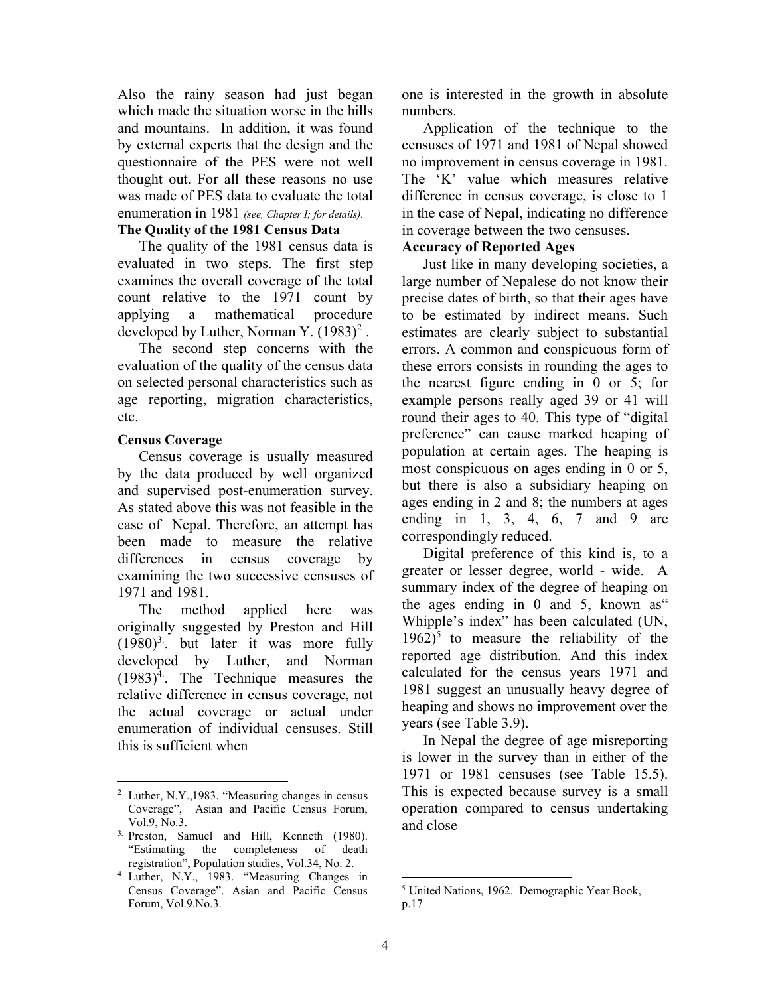Also the rainy season had just began which made the situation worse in the hills and mountains. In addition, it was found by external experts that the design and the questionnaire of the PES were not well thought out. For all these reasons no use was made of PES data to evaluate the total enumeration in 1981 (see, Chapter I; for details).

### The Quality of the 1981 Census Data

The quality of the 1981 census data is evaluated in two steps. The first step examines the overall coverage of the total count relative to the 1971 count by applying a mathematical procedure developed by Luther, Norman Y.  $(1983)^2$ .

The second step concerns with the evaluation of the quality of the census data on selected personal characteristics such as age reporting, migration characteristics, etc.

### Census Coverage

Census coverage is usually measured by the data produced by well organized and supervised post-enumeration survey. As stated above this was not feasible in the case of Nepal. Therefore, an attempt has been made to measure the relative differences in census coverage by examining the two successive censuses of 1971 and 1981.

The method applied here was originally suggested by Preston and Hill  $(1980)^3$ . but later it was more fully developed by Luther, and Norman  $(1983)^4$ . The Technique measures the relative difference in census coverage, not the actual coverage or actual under enumeration of individual censuses. Still this is sufficient when

one is interested in the growth in absolute numbers.

Application of the technique to the censuses of 1971 and 1981 of Nepal showed no improvement in census coverage in 1981. The 'K' value which measures relative difference in census coverage, is close to 1 in the case of Nepal, indicating no difference in coverage between the two censuses. Accuracy of Reported Ages

Just like in many developing societies, a large number of Nepalese do not know their precise dates of birth, so that their ages have to be estimated by indirect means. Such estimates are clearly subject to substantial errors. A common and conspicuous form of these errors consists in rounding the ages to the nearest figure ending in 0 or 5; for example persons really aged 39 or 41 will round their ages to 40. This type of "digital preference" can cause marked heaping of population at certain ages. The heaping is most conspicuous on ages ending in 0 or 5, but there is also a subsidiary heaping on ages ending in 2 and 8; the numbers at ages ending in 1, 3, 4, 6, 7 and 9 are correspondingly reduced.

Digital preference of this kind is, to a greater or lesser degree, world - wide. A summary index of the degree of heaping on the ages ending in 0 and 5, known as" Whipple's index" has been calculated (UN,  $1962$ <sup>5</sup> to measure the reliability of the reported age distribution. And this index calculated for the census years 1971 and 1981 suggest an unusually heavy degree of heaping and shows no improvement over the years (see Table 3.9).

In Nepal the degree of age misreporting is lower in the survey than in either of the 1971 or 1981 censuses (see Table 15.5). This is expected because survey is a small operation compared to census undertaking and close

<sup>2</sup> Luther, N.Y.,1983. "Measuring changes in census Coverage", Asian and Pacific Census Forum, Vol.9, No.3.

<sup>3.</sup> Preston, Samuel and Hill, Kenneth (1980). "Estimating the completeness of death registration", Population studies, Vol.34, No. 2.

<sup>4.</sup> Luther, N.Y., 1983. "Measuring Changes in Census Coverage". Asian and Pacific Census Forum, Vol.9.No.3.

<sup>5</sup> United Nations, 1962. Demographic Year Book, p.17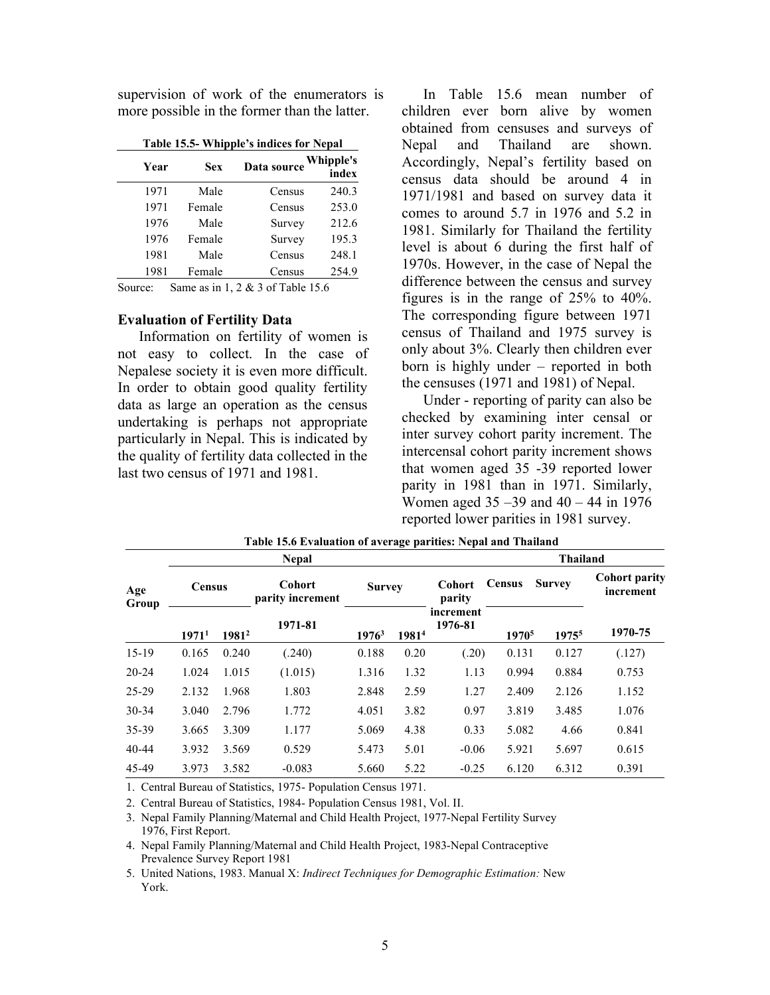supervision of work of the enumerators is more possible in the former than the latter.

Table 15.5- Whipple's indices for Nepal

| Year | Sex    | Data source | <b>Whipple's</b><br>index |  |
|------|--------|-------------|---------------------------|--|
| 1971 | Male   | Census      | 240.3                     |  |
| 1971 | Female | Census      | 253.0                     |  |
| 1976 | Male   | Survey      | 212.6                     |  |
| 1976 | Female | Survey      | 195.3                     |  |
| 1981 | Male   | Census      | 248.1                     |  |
| 1981 | Female | Census      | 254.9                     |  |
|      |        |             |                           |  |

Source: Same as in 1, 2 & 3 of Table 15.6

#### Evaluation of Fertility Data

Information on fertility of women is not easy to collect. In the case of Nepalese society it is even more difficult. In order to obtain good quality fertility data as large an operation as the census undertaking is perhaps not appropriate particularly in Nepal. This is indicated by the quality of fertility data collected in the last two census of 1971 and 1981.

In Table 15.6 mean number of children ever born alive by women obtained from censuses and surveys of Nepal and Thailand are shown. Accordingly, Nepal's fertility based on census data should be around 4 in 1971/1981 and based on survey data it comes to around 5.7 in 1976 and 5.2 in 1981. Similarly for Thailand the fertility level is about 6 during the first half of 1970s. However, in the case of Nepal the difference between the census and survey figures is in the range of 25% to 40%. The corresponding figure between 1971 census of Thailand and 1975 survey is only about 3%. Clearly then children ever born is highly under – reported in both the censuses (1971 and 1981) of Nepal.

Under - reporting of parity can also be checked by examining inter censal or inter survey cohort parity increment. The intercensal cohort parity increment shows that women aged 35 -39 reported lower parity in 1981 than in 1971. Similarly, Women aged  $35 - 39$  and  $40 - 44$  in 1976 reported lower parities in 1981 survey.

|              |                   |                   | <b>Nepal</b>                      |          |                   | <b>Thailand</b>      |                   |                   |                                   |  |
|--------------|-------------------|-------------------|-----------------------------------|----------|-------------------|----------------------|-------------------|-------------------|-----------------------------------|--|
| Age<br>Group | <b>Census</b>     |                   | <b>Cohort</b><br>parity increment |          | <b>Survey</b>     |                      | <b>Census</b>     | <b>Survey</b>     | <b>Cohort parity</b><br>increment |  |
|              | 1971 <sup>1</sup> | 1981 <sup>2</sup> | 1971-81                           | $1976^3$ | 1981 <sup>4</sup> | increment<br>1976-81 | 1970 <sup>5</sup> | 1975 <sup>5</sup> | 1970-75                           |  |
| $15-19$      | 0.165             | 0.240             | (.240)                            | 0.188    | 0.20              | (.20)                | 0.131             | 0.127             | (.127)                            |  |
| $20 - 24$    | 1.024             | 1.015             | (1.015)                           | 1.316    | 1.32              | 1.13                 | 0.994             | 0.884             | 0.753                             |  |
| 25-29        | 2.132             | 1.968             | 1.803                             | 2.848    | 2.59              | 1.27                 | 2.409             | 2.126             | 1.152                             |  |
| $30 - 34$    | 3.040             | 2.796             | 1.772                             | 4.051    | 3.82              | 0.97                 | 3.819             | 3.485             | 1.076                             |  |
| 35-39        | 3.665             | 3.309             | 1.177                             | 5.069    | 4.38              | 0.33                 | 5.082             | 4.66              | 0.841                             |  |
| $40 - 44$    | 3.932             | 3.569             | 0.529                             | 5.473    | 5.01              | $-0.06$              | 5.921             | 5.697             | 0.615                             |  |
| 45-49        | 3.973             | 3.582             | $-0.083$                          | 5.660    | 5.22              | $-0.25$              | 6.120             | 6.312             | 0.391                             |  |

| Table 15.6 Evaluation of average parities: Nepal and Thailand |  |
|---------------------------------------------------------------|--|
|---------------------------------------------------------------|--|

1. Central Bureau of Statistics, 1975- Population Census 1971.

2. Central Bureau of Statistics, 1984- Population Census 1981, Vol. II.

3. Nepal Family Planning/Maternal and Child Health Project, 1977-Nepal Fertility Survey 1976, First Report.

4. Nepal Family Planning/Maternal and Child Health Project, 1983-Nepal Contraceptive Prevalence Survey Report 1981

5. United Nations, 1983. Manual X: Indirect Techniques for Demographic Estimation: New York.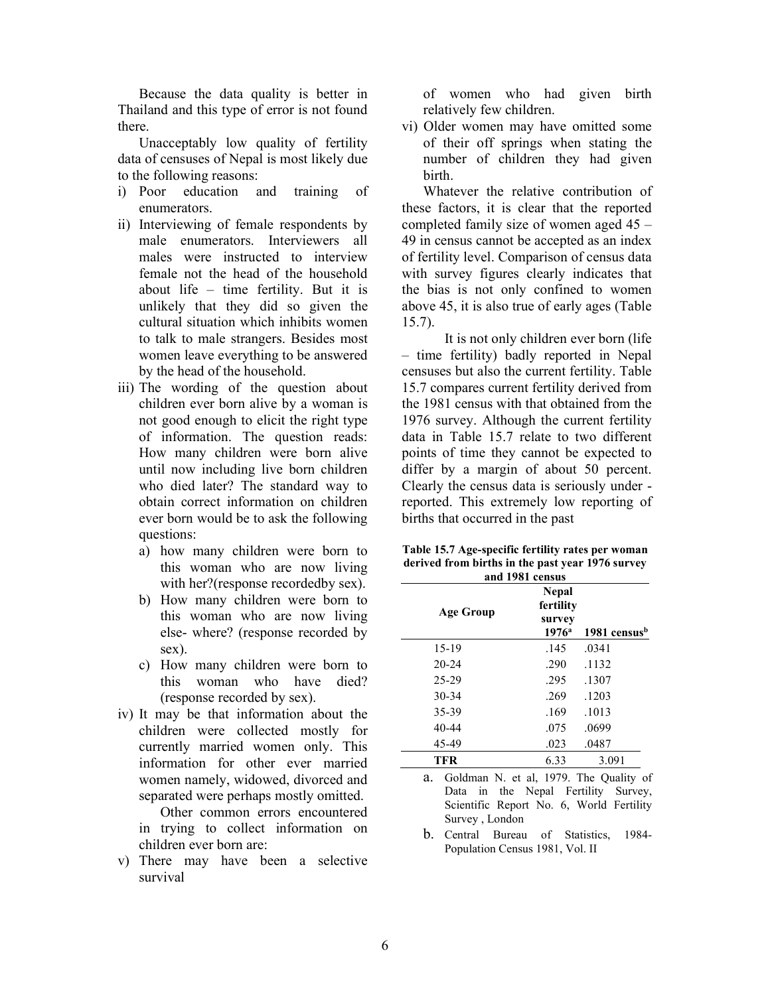Because the data quality is better in Thailand and this type of error is not found there.

Unacceptably low quality of fertility data of censuses of Nepal is most likely due to the following reasons:

- i) Poor education and training of enumerators.
- ii) Interviewing of female respondents by male enumerators. Interviewers all males were instructed to interview female not the head of the household about life – time fertility. But it is unlikely that they did so given the cultural situation which inhibits women to talk to male strangers. Besides most women leave everything to be answered by the head of the household.
- iii) The wording of the question about children ever born alive by a woman is not good enough to elicit the right type of information. The question reads: How many children were born alive until now including live born children who died later? The standard way to obtain correct information on children ever born would be to ask the following questions:
	- a) how many children were born to this woman who are now living with her?(response recordedby sex).
	- b) How many children were born to this woman who are now living else- where? (response recorded by sex).
	- c) How many children were born to this woman who have died? (response recorded by sex).
- iv) It may be that information about the children were collected mostly for currently married women only. This information for other ever married women namely, widowed, divorced and separated were perhaps mostly omitted.

 Other common errors encountered in trying to collect information on children ever born are:

v) There may have been a selective survival

 of women who had given birth relatively few children.

vi) Older women may have omitted some of their off springs when stating the number of children they had given birth.

Whatever the relative contribution of these factors, it is clear that the reported completed family size of women aged 45 – 49 in census cannot be accepted as an index of fertility level. Comparison of census data with survey figures clearly indicates that the bias is not only confined to women above 45, it is also true of early ages (Table 15.7).

 It is not only children ever born (life – time fertility) badly reported in Nepal censuses but also the current fertility. Table 15.7 compares current fertility derived from the 1981 census with that obtained from the 1976 survey. Although the current fertility data in Table 15.7 relate to two different points of time they cannot be expected to differ by a margin of about 50 percent. Clearly the census data is seriously under reported. This extremely low reporting of births that occurred in the past

| Table 15.7 Age-specific fertility rates per woman |
|---------------------------------------------------|
| derived from births in the past year 1976 survey  |
| and 1001 aggregation                              |

| and 1981 census |                                                       |                          |  |  |  |  |  |
|-----------------|-------------------------------------------------------|--------------------------|--|--|--|--|--|
| Age Group       | <b>Nepal</b><br>fertility<br>survey<br>$1976^{\rm a}$ | 1981 census <sup>b</sup> |  |  |  |  |  |
| 15-19           | .145                                                  | .0341                    |  |  |  |  |  |
| $20 - 24$       | .290                                                  | .1132                    |  |  |  |  |  |
| 25-29           | .295                                                  | .1307                    |  |  |  |  |  |
| $30 - 34$       | .269                                                  | .1203                    |  |  |  |  |  |
| 35-39           | .169                                                  | .1013                    |  |  |  |  |  |
| 40-44           | .075                                                  | .0699                    |  |  |  |  |  |
| 45-49           | .023                                                  | .0487                    |  |  |  |  |  |
| <b>TFR</b>      | 6.33                                                  | 3.091                    |  |  |  |  |  |

a. Goldman N. et al, 1979. The Quality of Data in the Nepal Fertility Survey, Scientific Report No. 6, World Fertility Survey , London

b. Central Bureau of Statistics, 1984- Population Census 1981, Vol. II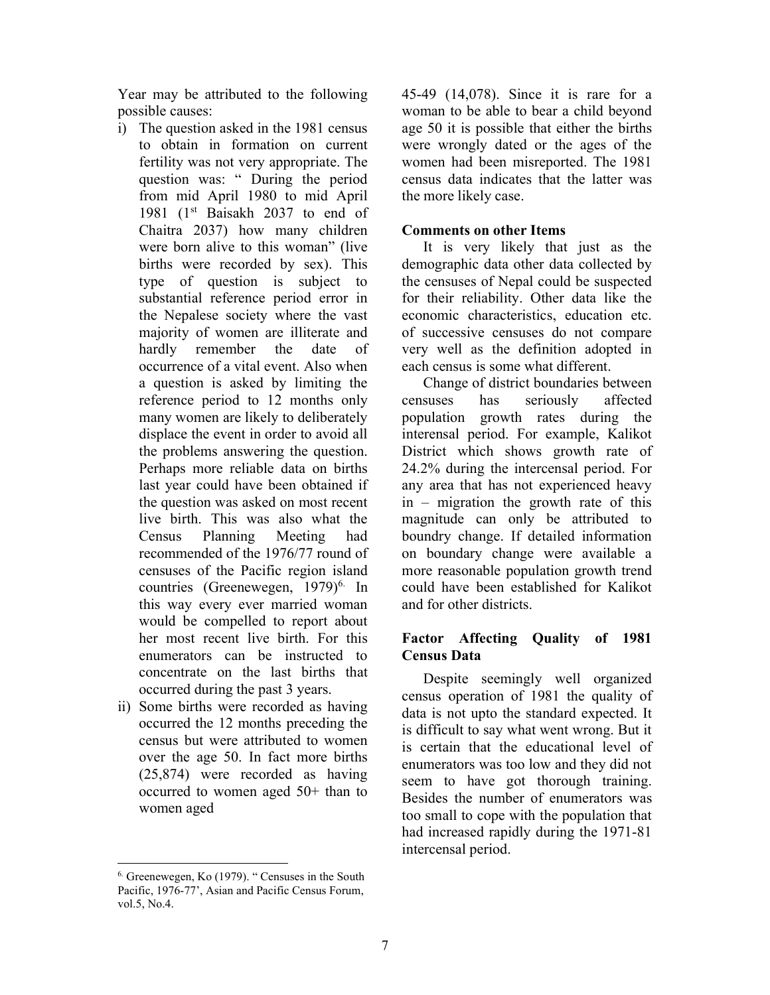Year may be attributed to the following possible causes:

- i) The question asked in the 1981 census to obtain in formation on current fertility was not very appropriate. The question was: " During the period from mid April 1980 to mid April 1981 ( $1<sup>st</sup>$  Baisakh 2037 to end of Chaitra 2037) how many children were born alive to this woman" (live births were recorded by sex). This type of question is subject to substantial reference period error in the Nepalese society where the vast majority of women are illiterate and hardly remember the date of occurrence of a vital event. Also when a question is asked by limiting the reference period to 12 months only many women are likely to deliberately displace the event in order to avoid all the problems answering the question. Perhaps more reliable data on births last year could have been obtained if the question was asked on most recent live birth. This was also what the Census Planning Meeting had recommended of the 1976/77 round of censuses of the Pacific region island countries (Greenewegen,  $1979$ <sup>6.</sup> In this way every ever married woman would be compelled to report about her most recent live birth. For this enumerators can be instructed to concentrate on the last births that occurred during the past 3 years.
- ii) Some births were recorded as having occurred the 12 months preceding the census but were attributed to women over the age 50. In fact more births (25,874) were recorded as having occurred to women aged 50+ than to women aged

45-49 (14,078). Since it is rare for a woman to be able to bear a child beyond age 50 it is possible that either the births were wrongly dated or the ages of the women had been misreported. The 1981 census data indicates that the latter was the more likely case.

### Comments on other Items

It is very likely that just as the demographic data other data collected by the censuses of Nepal could be suspected for their reliability. Other data like the economic characteristics, education etc. of successive censuses do not compare very well as the definition adopted in each census is some what different.

Change of district boundaries between censuses has seriously affected population growth rates during the interensal period. For example, Kalikot District which shows growth rate of 24.2% during the intercensal period. For any area that has not experienced heavy in – migration the growth rate of this magnitude can only be attributed to boundry change. If detailed information on boundary change were available a more reasonable population growth trend could have been established for Kalikot and for other districts.

# Factor Affecting Quality of 1981 Census Data

Despite seemingly well organized census operation of 1981 the quality of data is not upto the standard expected. It is difficult to say what went wrong. But it is certain that the educational level of enumerators was too low and they did not seem to have got thorough training. Besides the number of enumerators was too small to cope with the population that had increased rapidly during the 1971-81 intercensal period.

<sup>6.</sup> Greenewegen, Ko (1979). " Censuses in the South Pacific, 1976-77', Asian and Pacific Census Forum, vol.5, No.4.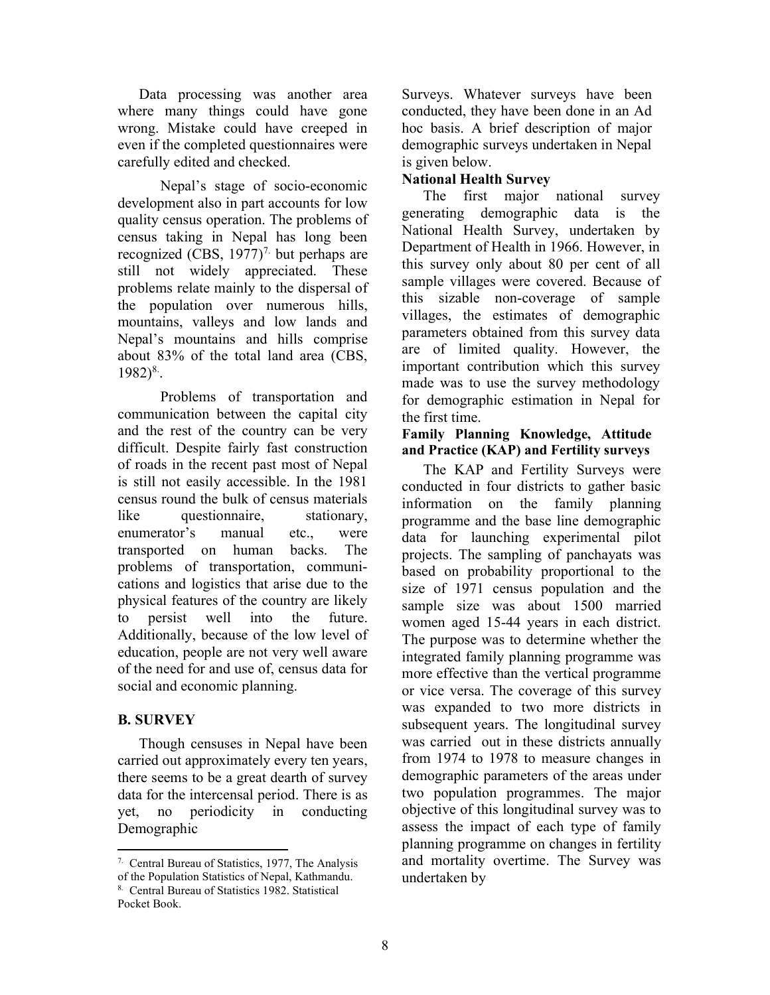Data processing was another area where many things could have gone wrong. Mistake could have creeped in even if the completed questionnaires were carefully edited and checked.

 Nepal's stage of socio-economic development also in part accounts for low quality census operation. The problems of census taking in Nepal has long been recognized (CBS,  $1977$ )<sup>7.</sup> but perhaps are still not widely appreciated. These problems relate mainly to the dispersal of the population over numerous hills, mountains, valleys and low lands and Nepal's mountains and hills comprise about 83% of the total land area (CBS,  $1982)^{8}$ .

 Problems of transportation and communication between the capital city and the rest of the country can be very difficult. Despite fairly fast construction of roads in the recent past most of Nepal is still not easily accessible. In the 1981 census round the bulk of census materials like questionnaire, stationary, enumerator's manual etc., were transported on human backs. The problems of transportation, communications and logistics that arise due to the physical features of the country are likely to persist well into the future. Additionally, because of the low level of education, people are not very well aware of the need for and use of, census data for social and economic planning.

## B. SURVEY

Though censuses in Nepal have been carried out approximately every ten years, there seems to be a great dearth of survey data for the intercensal period. There is as yet, no periodicity in conducting Demographic

Surveys. Whatever surveys have been conducted, they have been done in an Ad hoc basis. A brief description of major demographic surveys undertaken in Nepal is given below.

# National Health Survey

The first major national survey generating demographic data is the National Health Survey, undertaken by Department of Health in 1966. However, in this survey only about 80 per cent of all sample villages were covered. Because of this sizable non-coverage of sample villages, the estimates of demographic parameters obtained from this survey data are of limited quality. However, the important contribution which this survey made was to use the survey methodology for demographic estimation in Nepal for the first time.

## Family Planning Knowledge, Attitude and Practice (KAP) and Fertility surveys

The KAP and Fertility Surveys were conducted in four districts to gather basic information on the family planning programme and the base line demographic data for launching experimental pilot projects. The sampling of panchayats was based on probability proportional to the size of 1971 census population and the sample size was about 1500 married women aged 15-44 years in each district. The purpose was to determine whether the integrated family planning programme was more effective than the vertical programme or vice versa. The coverage of this survey was expanded to two more districts in subsequent years. The longitudinal survey was carried out in these districts annually from 1974 to 1978 to measure changes in demographic parameters of the areas under two population programmes. The major objective of this longitudinal survey was to assess the impact of each type of family planning programme on changes in fertility and mortality overtime. The Survey was undertaken by

<sup>7.</sup> Central Bureau of Statistics, 1977, The Analysis of the Population Statistics of Nepal, Kathmandu.

<sup>8.</sup> Central Bureau of Statistics 1982. Statistical Pocket Book.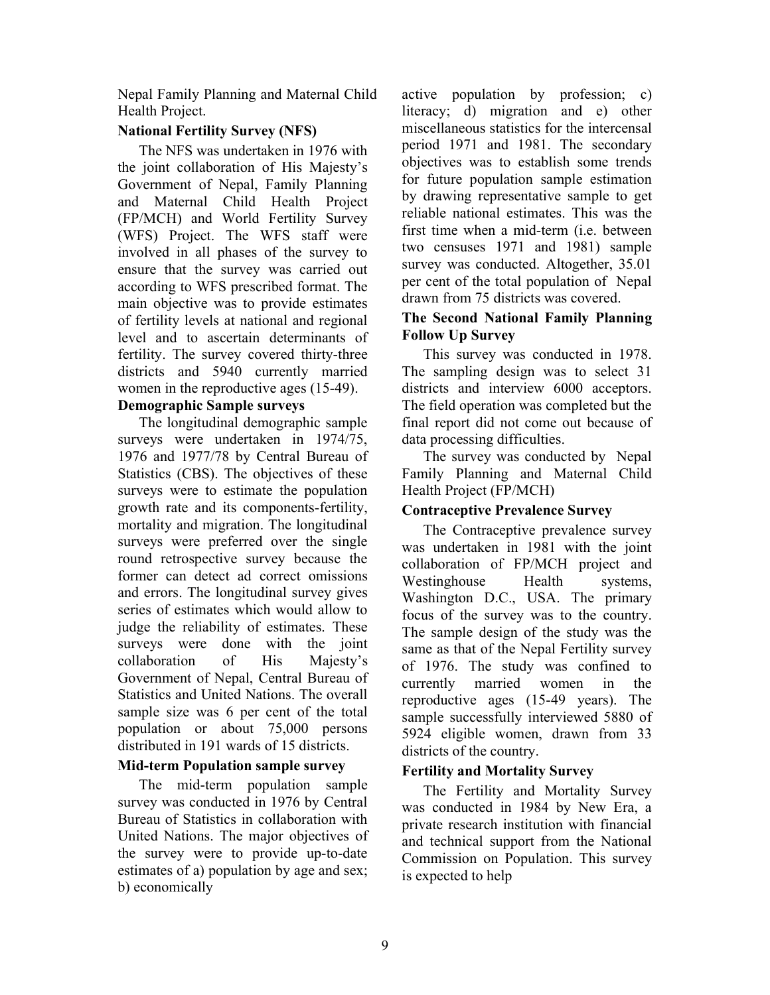Nepal Family Planning and Maternal Child Health Project.

# National Fertility Survey (NFS)

The NFS was undertaken in 1976 with the joint collaboration of His Majesty's Government of Nepal, Family Planning and Maternal Child Health Project (FP/MCH) and World Fertility Survey (WFS) Project. The WFS staff were involved in all phases of the survey to ensure that the survey was carried out according to WFS prescribed format. The main objective was to provide estimates of fertility levels at national and regional level and to ascertain determinants of fertility. The survey covered thirty-three districts and 5940 currently married women in the reproductive ages (15-49).

## Demographic Sample surveys

The longitudinal demographic sample surveys were undertaken in 1974/75, 1976 and 1977/78 by Central Bureau of Statistics (CBS). The objectives of these surveys were to estimate the population growth rate and its components-fertility, mortality and migration. The longitudinal surveys were preferred over the single round retrospective survey because the former can detect ad correct omissions and errors. The longitudinal survey gives series of estimates which would allow to judge the reliability of estimates. These surveys were done with the joint collaboration of His Majesty's Government of Nepal, Central Bureau of Statistics and United Nations. The overall sample size was 6 per cent of the total population or about 75,000 persons distributed in 191 wards of 15 districts.

## Mid-term Population sample survey

The mid-term population sample survey was conducted in 1976 by Central Bureau of Statistics in collaboration with United Nations. The major objectives of the survey were to provide up-to-date estimates of a) population by age and sex; b) economically

active population by profession; c) literacy; d) migration and e) other miscellaneous statistics for the intercensal period 1971 and 1981. The secondary objectives was to establish some trends for future population sample estimation by drawing representative sample to get reliable national estimates. This was the first time when a mid-term (i.e. between two censuses 1971 and 1981) sample survey was conducted. Altogether, 35.01 per cent of the total population of Nepal drawn from 75 districts was covered.

# The Second National Family Planning Follow Up Survey

This survey was conducted in 1978. The sampling design was to select 31 districts and interview 6000 acceptors. The field operation was completed but the final report did not come out because of data processing difficulties.

The survey was conducted by Nepal Family Planning and Maternal Child Health Project (FP/MCH)

# Contraceptive Prevalence Survey

The Contraceptive prevalence survey was undertaken in 1981 with the joint collaboration of FP/MCH project and Westinghouse Health systems, Washington D.C., USA. The primary focus of the survey was to the country. The sample design of the study was the same as that of the Nepal Fertility survey of 1976. The study was confined to currently married women in the reproductive ages (15-49 years). The sample successfully interviewed 5880 of 5924 eligible women, drawn from 33 districts of the country.

# Fertility and Mortality Survey

The Fertility and Mortality Survey was conducted in 1984 by New Era, a private research institution with financial and technical support from the National Commission on Population. This survey is expected to help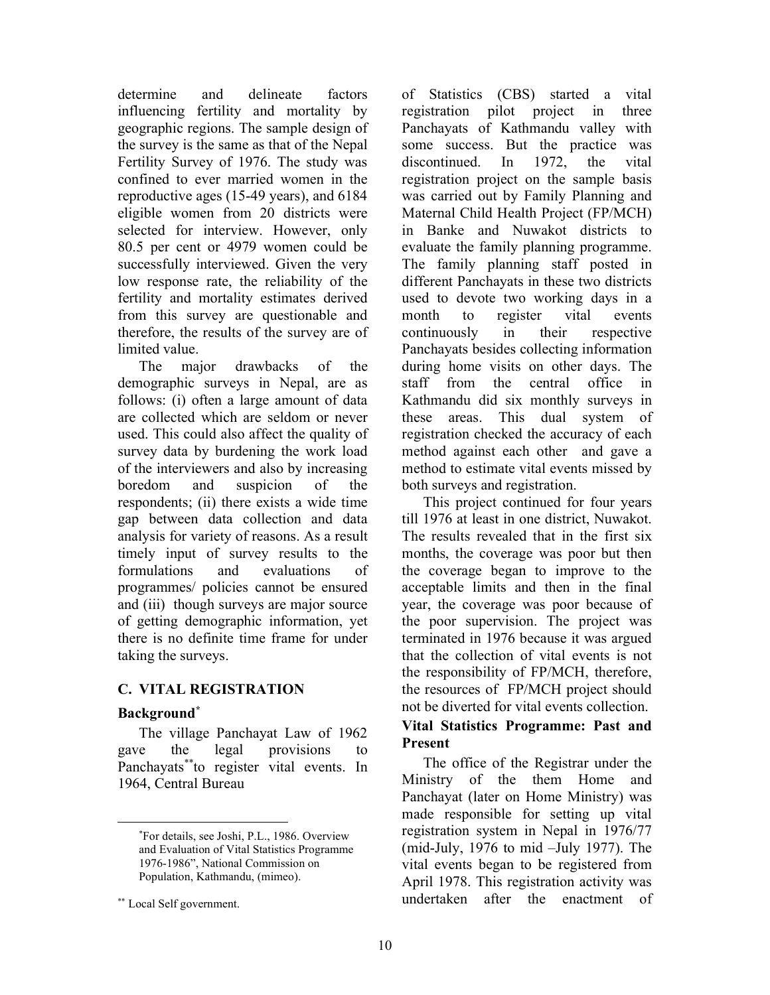determine and delineate factors influencing fertility and mortality by geographic regions. The sample design of the survey is the same as that of the Nepal Fertility Survey of 1976. The study was confined to ever married women in the reproductive ages (15-49 years), and 6184 eligible women from 20 districts were selected for interview. However, only 80.5 per cent or 4979 women could be successfully interviewed. Given the very low response rate, the reliability of the fertility and mortality estimates derived from this survey are questionable and therefore, the results of the survey are of limited value.

The major drawbacks of the demographic surveys in Nepal, are as follows: (i) often a large amount of data are collected which are seldom or never used. This could also affect the quality of survey data by burdening the work load of the interviewers and also by increasing boredom and suspicion of the respondents; (ii) there exists a wide time gap between data collection and data analysis for variety of reasons. As a result timely input of survey results to the formulations and evaluations of programmes/ policies cannot be ensured and (iii) though surveys are major source of getting demographic information, yet there is no definite time frame for under taking the surveys.

# C. VITAL REGISTRATION

# Background<sup>\*</sup>

The village Panchayat Law of 1962 gave the legal provisions to Panchayats<sup>\*\*</sup>to register vital events. In 1964, Central Bureau

of Statistics (CBS) started a vital registration pilot project in three Panchayats of Kathmandu valley with some success. But the practice was discontinued. In 1972, the vital registration project on the sample basis was carried out by Family Planning and Maternal Child Health Project (FP/MCH) in Banke and Nuwakot districts to evaluate the family planning programme. The family planning staff posted in different Panchayats in these two districts used to devote two working days in a month to register vital events continuously in their respective Panchayats besides collecting information during home visits on other days. The staff from the central office in Kathmandu did six monthly surveys in these areas. This dual system of registration checked the accuracy of each method against each other and gave a method to estimate vital events missed by both surveys and registration.

This project continued for four years till 1976 at least in one district, Nuwakot. The results revealed that in the first six months, the coverage was poor but then the coverage began to improve to the acceptable limits and then in the final year, the coverage was poor because of the poor supervision. The project was terminated in 1976 because it was argued that the collection of vital events is not the responsibility of FP/MCH, therefore, the resources of FP/MCH project should not be diverted for vital events collection.

# Vital Statistics Programme: Past and Present

The office of the Registrar under the Ministry of the them Home and Panchayat (later on Home Ministry) was made responsible for setting up vital registration system in Nepal in 1976/77 (mid-July, 1976 to mid –July 1977). The vital events began to be registered from April 1978. This registration activity was undertaken after the enactment of

<sup>\*</sup>For details, see Joshi, P.L., 1986. Overview and Evaluation of Vital Statistics Programme 1976-1986", National Commission on Population, Kathmandu, (mimeo).

<sup>\*\*</sup> Local Self government.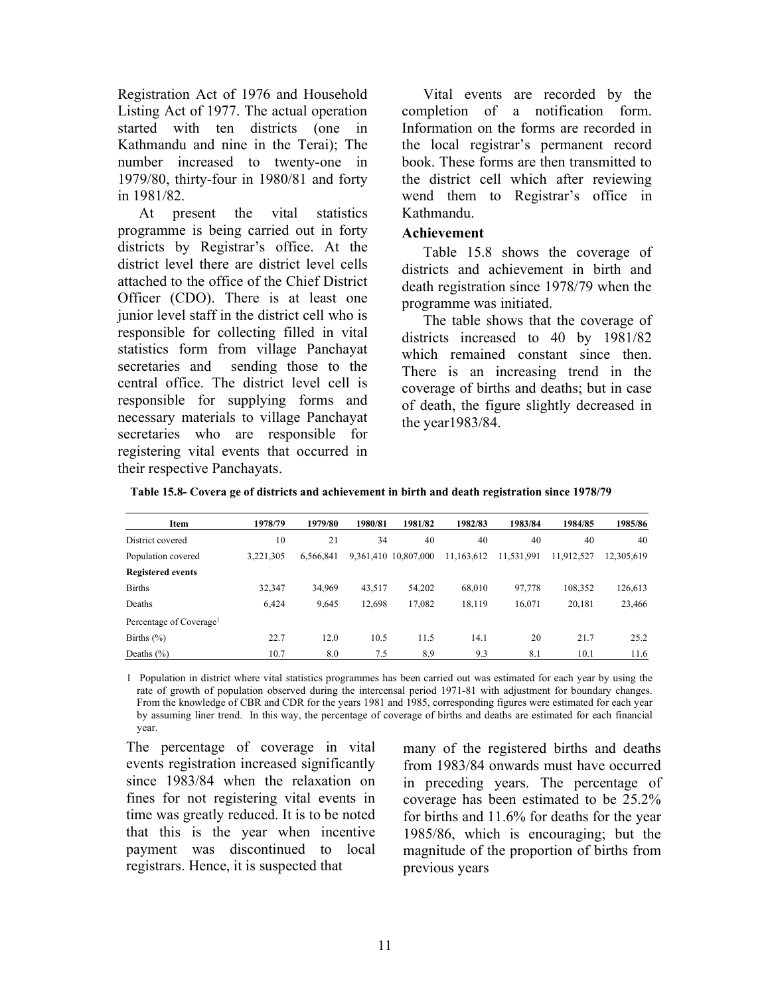Registration Act of 1976 and Household Listing Act of 1977. The actual operation started with ten districts (one in Kathmandu and nine in the Terai); The number increased to twenty-one in 1979/80, thirty-four in 1980/81 and forty in 1981/82.

At present the vital statistics programme is being carried out in forty districts by Registrar's office. At the district level there are district level cells attached to the office of the Chief District Officer (CDO). There is at least one junior level staff in the district cell who is responsible for collecting filled in vital statistics form from village Panchayat secretaries and sending those to the central office. The district level cell is responsible for supplying forms and necessary materials to village Panchayat secretaries who are responsible for registering vital events that occurred in their respective Panchayats.

Vital events are recorded by the completion of a notification form. Information on the forms are recorded in the local registrar's permanent record book. These forms are then transmitted to the district cell which after reviewing wend them to Registrar's office in Kathmandu.

#### Achievement

Table 15.8 shows the coverage of districts and achievement in birth and death registration since 1978/79 when the programme was initiated.

The table shows that the coverage of districts increased to 40 by 1981/82 which remained constant since then. There is an increasing trend in the coverage of births and deaths; but in case of death, the figure slightly decreased in the year1983/84.

| Item                                | 1978/79   | 1979/80   | 1980/81 | 1981/82              | 1982/83    | 1983/84    | 1984/85    | 1985/86    |
|-------------------------------------|-----------|-----------|---------|----------------------|------------|------------|------------|------------|
| District covered                    | 10        | 21        | 34      | 40                   | 40         | 40         | 40         | 40         |
| Population covered                  | 3.221.305 | 6.566.841 |         | 9,361,410 10,807,000 | 11,163,612 | 11,531,991 | 11,912,527 | 12,305,619 |
| <b>Registered events</b>            |           |           |         |                      |            |            |            |            |
| <b>Births</b>                       | 32,347    | 34,969    | 43,517  | 54,202               | 68,010     | 97,778     | 108,352    | 126,613    |
| Deaths                              | 6,424     | 9,645     | 12,698  | 17,082               | 18,119     | 16.071     | 20.181     | 23,466     |
| Percentage of Coverage <sup>1</sup> |           |           |         |                      |            |            |            |            |
| Births $(\% )$                      | 22.7      | 12.0      | 10.5    | 11.5                 | 14.1       | 20         | 21.7       | 25.2       |
| Deaths $(\% )$                      | 10.7      | 8.0       | 7.5     | 8.9                  | 9.3        | 8.1        | 10.1       | 11.6       |

Table 15.8- Covera ge of districts and achievement in birth and death registration since 1978/79

1 Population in district where vital statistics programmes has been carried out was estimated for each year by using the rate of growth of population observed during the intercensal period 1971-81 with adjustment for boundary changes. From the knowledge of CBR and CDR for the years 1981 and 1985, corresponding figures were estimated for each year by assuming liner trend. In this way, the percentage of coverage of births and deaths are estimated for each financial year.

The percentage of coverage in vital events registration increased significantly since 1983/84 when the relaxation on fines for not registering vital events in time was greatly reduced. It is to be noted that this is the year when incentive payment was discontinued to local registrars. Hence, it is suspected that

many of the registered births and deaths from 1983/84 onwards must have occurred in preceding years. The percentage of coverage has been estimated to be 25.2% for births and 11.6% for deaths for the year 1985/86, which is encouraging; but the magnitude of the proportion of births from previous years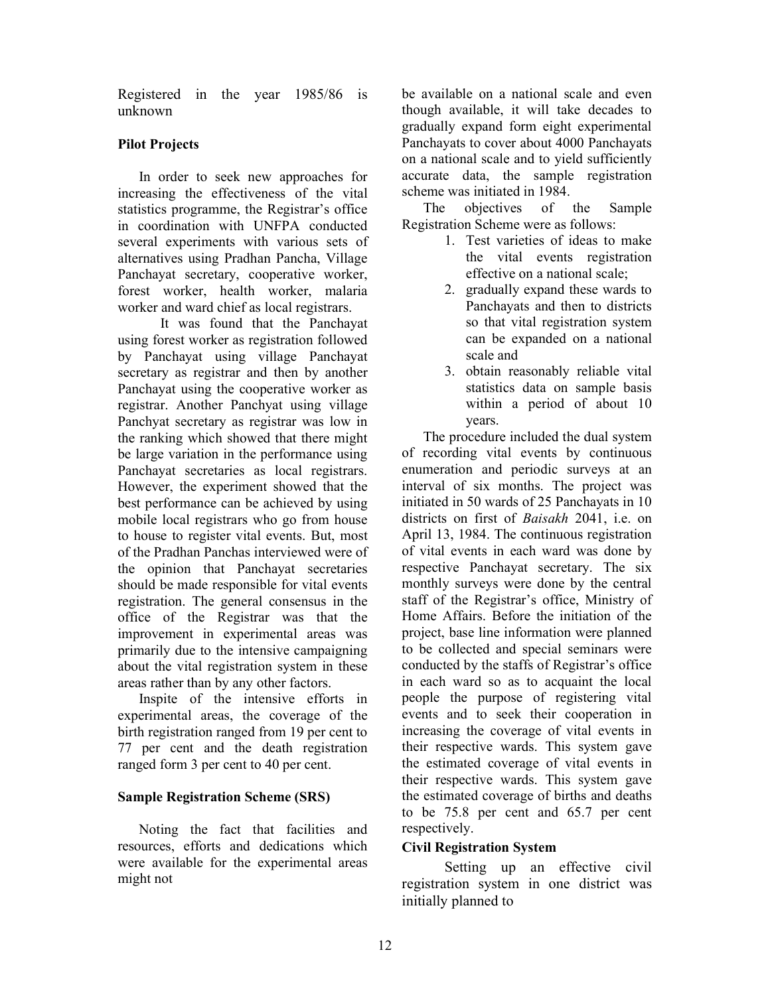Registered in the year 1985/86 is unknown

# Pilot Projects

In order to seek new approaches for increasing the effectiveness of the vital statistics programme, the Registrar's office in coordination with UNFPA conducted several experiments with various sets of alternatives using Pradhan Pancha, Village Panchayat secretary, cooperative worker, forest worker, health worker, malaria worker and ward chief as local registrars.

 It was found that the Panchayat using forest worker as registration followed by Panchayat using village Panchayat secretary as registrar and then by another Panchayat using the cooperative worker as registrar. Another Panchyat using village Panchyat secretary as registrar was low in the ranking which showed that there might be large variation in the performance using Panchayat secretaries as local registrars. However, the experiment showed that the best performance can be achieved by using mobile local registrars who go from house to house to register vital events. But, most of the Pradhan Panchas interviewed were of the opinion that Panchayat secretaries should be made responsible for vital events registration. The general consensus in the office of the Registrar was that the improvement in experimental areas was primarily due to the intensive campaigning about the vital registration system in these areas rather than by any other factors.

 Inspite of the intensive efforts in experimental areas, the coverage of the birth registration ranged from 19 per cent to 77 per cent and the death registration ranged form 3 per cent to 40 per cent.

## Sample Registration Scheme (SRS)

Noting the fact that facilities and resources, efforts and dedications which were available for the experimental areas might not

be available on a national scale and even though available, it will take decades to gradually expand form eight experimental Panchayats to cover about 4000 Panchayats on a national scale and to yield sufficiently accurate data, the sample registration scheme was initiated in 1984.

The objectives of the Sample Registration Scheme were as follows:

- 1. Test varieties of ideas to make the vital events registration effective on a national scale;
- 2. gradually expand these wards to Panchayats and then to districts so that vital registration system can be expanded on a national scale and
- 3. obtain reasonably reliable vital statistics data on sample basis within a period of about 10 years.

The procedure included the dual system of recording vital events by continuous enumeration and periodic surveys at an interval of six months. The project was initiated in 50 wards of 25 Panchayats in 10 districts on first of Baisakh 2041, i.e. on April 13, 1984. The continuous registration of vital events in each ward was done by respective Panchayat secretary. The six monthly surveys were done by the central staff of the Registrar's office, Ministry of Home Affairs. Before the initiation of the project, base line information were planned to be collected and special seminars were conducted by the staffs of Registrar's office in each ward so as to acquaint the local people the purpose of registering vital events and to seek their cooperation in increasing the coverage of vital events in their respective wards. This system gave the estimated coverage of vital events in their respective wards. This system gave the estimated coverage of births and deaths to be 75.8 per cent and 65.7 per cent respectively.

## Civil Registration System

 Setting up an effective civil registration system in one district was initially planned to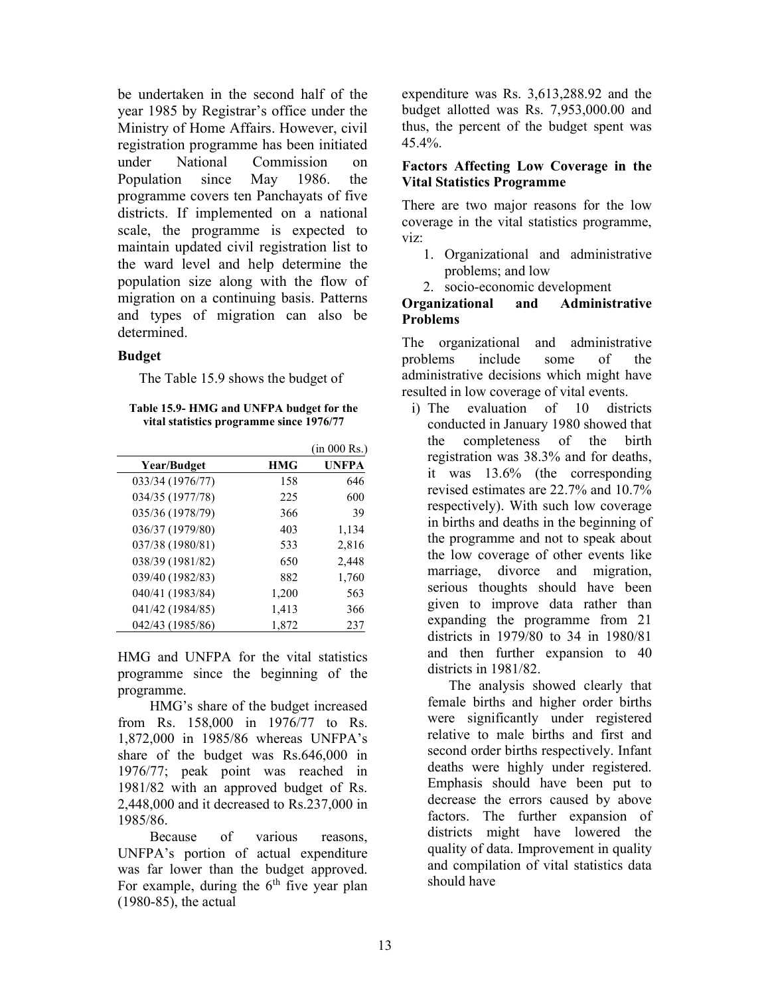be undertaken in the second half of the year 1985 by Registrar's office under the Ministry of Home Affairs. However, civil registration programme has been initiated under National Commission on Population since May 1986. the programme covers ten Panchayats of five districts. If implemented on a national scale, the programme is expected to maintain updated civil registration list to the ward level and help determine the population size along with the flow of migration on a continuing basis. Patterns and types of migration can also be determined.

### **Budget**

The Table 15.9 shows the budget of

Table 15.9- HMG and UNFPA budget for the vital statistics programme since 1976/77

|                  |            | (in 000 Rs.) |
|------------------|------------|--------------|
| Year/Budget      | <b>HMG</b> | <b>UNFPA</b> |
| 033/34 (1976/77) | 158        | 646          |
| 034/35 (1977/78) | 225        | 600          |
| 035/36 (1978/79) | 366        | 39           |
| 036/37 (1979/80) | 403        | 1,134        |
| 037/38 (1980/81) | 533        | 2,816        |
| 038/39 (1981/82) | 650        | 2,448        |
| 039/40 (1982/83) | 882        | 1,760        |
| 040/41 (1983/84) | 1,200      | 563          |
| 041/42 (1984/85) | 1,413      | 366          |
| 042/43 (1985/86) | 1,872      | 237          |

HMG and UNFPA for the vital statistics programme since the beginning of the programme.

 HMG's share of the budget increased from Rs. 158,000 in 1976/77 to Rs. 1,872,000 in 1985/86 whereas UNFPA's share of the budget was Rs.646,000 in 1976/77; peak point was reached in 1981/82 with an approved budget of Rs. 2,448,000 and it decreased to Rs.237,000 in 1985/86.

 Because of various reasons, UNFPA's portion of actual expenditure was far lower than the budget approved. For example, during the  $6<sup>th</sup>$  five year plan  $(1980-85)$ , the actual

expenditure was Rs. 3,613,288.92 and the budget allotted was Rs. 7,953,000.00 and thus, the percent of the budget spent was 45.4%.

### Factors Affecting Low Coverage in the Vital Statistics Programme

There are two major reasons for the low coverage in the vital statistics programme, viz:

- 1. Organizational and administrative problems; and low
- 2. socio-economic development

# Organizational and Administrative Problems

The organizational and administrative problems include some of the administrative decisions which might have resulted in low coverage of vital events.

i) The evaluation of 10 districts conducted in January 1980 showed that the completeness of the birth registration was 38.3% and for deaths, it was 13.6% (the corresponding revised estimates are 22.7% and 10.7% respectively). With such low coverage in births and deaths in the beginning of the programme and not to speak about the low coverage of other events like marriage, divorce and migration, serious thoughts should have been given to improve data rather than expanding the programme from 21 districts in 1979/80 to 34 in 1980/81 and then further expansion to 40 districts in 1981/82.

The analysis showed clearly that female births and higher order births were significantly under registered relative to male births and first and second order births respectively. Infant deaths were highly under registered. Emphasis should have been put to decrease the errors caused by above factors. The further expansion of districts might have lowered the quality of data. Improvement in quality and compilation of vital statistics data should have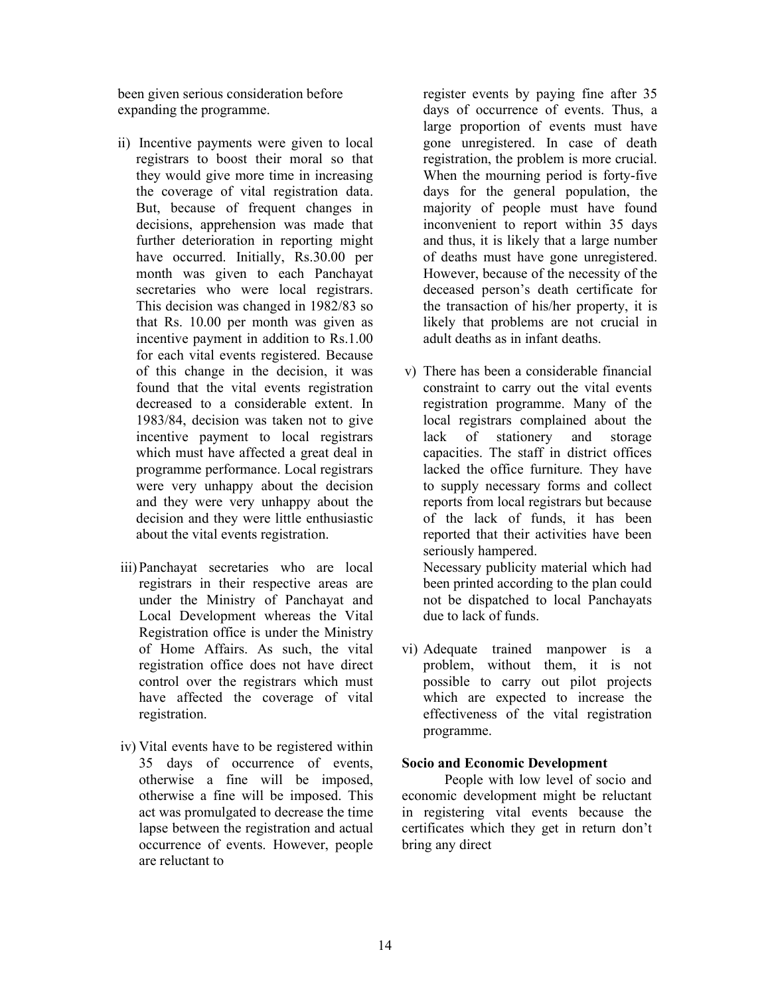been given serious consideration before expanding the programme.

- ii) Incentive payments were given to local registrars to boost their moral so that they would give more time in increasing the coverage of vital registration data. But, because of frequent changes in decisions, apprehension was made that further deterioration in reporting might have occurred. Initially, Rs.30.00 per month was given to each Panchayat secretaries who were local registrars. This decision was changed in 1982/83 so that Rs. 10.00 per month was given as incentive payment in addition to Rs.1.00 for each vital events registered. Because of this change in the decision, it was found that the vital events registration decreased to a considerable extent. In 1983/84, decision was taken not to give incentive payment to local registrars which must have affected a great deal in programme performance. Local registrars were very unhappy about the decision and they were very unhappy about the decision and they were little enthusiastic about the vital events registration.
- iii)Panchayat secretaries who are local registrars in their respective areas are under the Ministry of Panchayat and Local Development whereas the Vital Registration office is under the Ministry of Home Affairs. As such, the vital registration office does not have direct control over the registrars which must have affected the coverage of vital registration.
- iv) Vital events have to be registered within 35 days of occurrence of events, otherwise a fine will be imposed, otherwise a fine will be imposed. This act was promulgated to decrease the time lapse between the registration and actual occurrence of events. However, people are reluctant to

register events by paying fine after 35 days of occurrence of events. Thus, a large proportion of events must have gone unregistered. In case of death registration, the problem is more crucial. When the mourning period is forty-five days for the general population, the majority of people must have found inconvenient to report within 35 days and thus, it is likely that a large number of deaths must have gone unregistered. However, because of the necessity of the deceased person's death certificate for the transaction of his/her property, it is likely that problems are not crucial in adult deaths as in infant deaths.

- v) There has been a considerable financial constraint to carry out the vital events registration programme. Many of the local registrars complained about the lack of stationery and storage capacities. The staff in district offices lacked the office furniture. They have to supply necessary forms and collect reports from local registrars but because of the lack of funds, it has been reported that their activities have been seriously hampered. Necessary publicity material which had been printed according to the plan could not be dispatched to local Panchayats due to lack of funds.
- vi) Adequate trained manpower is a problem, without them, it is not possible to carry out pilot projects which are expected to increase the effectiveness of the vital registration programme.

#### Socio and Economic Development

 People with low level of socio and economic development might be reluctant in registering vital events because the certificates which they get in return don't bring any direct